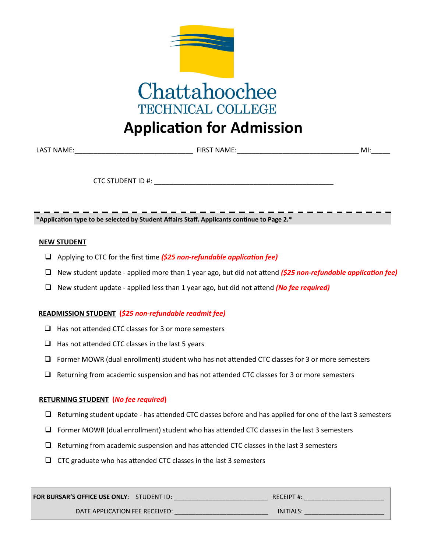

# **Application for Admission**

| LAS1<br><b>NIAN</b> | ΞIR<br>w | Mı |  |
|---------------------|----------|----|--|
|                     |          |    |  |

CTC STUDENT ID #:

**\*Application type to be selected by Student Affairs Staff. Applicants continue to Page 2.\***

#### **NEW STUDENT**

- Applying to CTC for the first time *(\$25 non-refundable application fee)*
- New student update applied more than 1 year ago, but did not attend *(\$25 non-refundable application fee)*
- New student update applied less than 1 year ago, but did not attend *(No fee required)*

## **READMISSION STUDENT (***\$25 non-refundable readmit fee)*

- $\Box$  Has not attended CTC classes for 3 or more semesters
- $\Box$  Has not attended CTC classes in the last 5 years
- $\Box$  Former MOWR (dual enrollment) student who has not attended CTC classes for 3 or more semesters
- $\Box$  Returning from academic suspension and has not attended CTC classes for 3 or more semesters

## **RETURNING STUDENT (***No fee required***)**

- $\Box$  Returning student update has attended CTC classes before and has applied for one of the last 3 semesters
- $\Box$  Former MOWR (dual enrollment) student who has attended CTC classes in the last 3 semesters
- $\Box$  Returning from academic suspension and has attended CTC classes in the last 3 semesters
- $\Box$  CTC graduate who has attended CTC classes in the last 3 semesters

| <b>FOR BURSAR'S OFFICE USE ONLY: STUDENT ID:</b> | RECEIPT#:       |
|--------------------------------------------------|-----------------|
| DATE APPLICATION FEE RECEIVED:                   | <b>INITIALS</b> |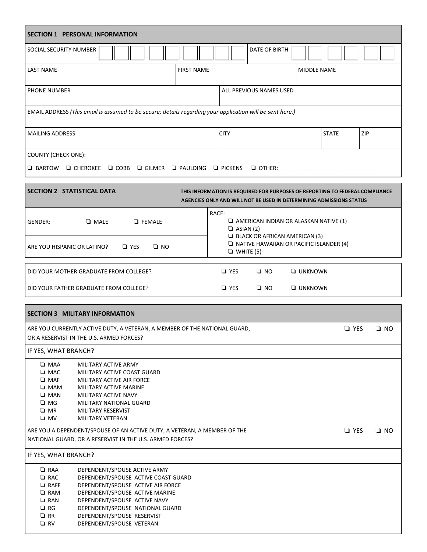| <b>SECTION 1 PERSONAL INFORMATION</b>                                                                                 |                                                                          |            |               |                   |             |                                                                                                                                                     |                  |              |            |            |              |
|-----------------------------------------------------------------------------------------------------------------------|--------------------------------------------------------------------------|------------|---------------|-------------------|-------------|-----------------------------------------------------------------------------------------------------------------------------------------------------|------------------|--------------|------------|------------|--------------|
| SOCIAL SECURITY NUMBER                                                                                                |                                                                          |            |               |                   |             | DATE OF BIRTH                                                                                                                                       |                  |              |            |            |              |
| <b>LAST NAME</b>                                                                                                      |                                                                          |            |               | <b>FIRST NAME</b> |             |                                                                                                                                                     | MIDDLE NAME      |              |            |            |              |
| PHONE NUMBER                                                                                                          |                                                                          |            |               |                   |             | ALL PREVIOUS NAMES USED                                                                                                                             |                  |              |            |            |              |
| EMAIL ADDRESS (This email is assumed to be secure; details regarding your application will be sent here.)             |                                                                          |            |               |                   |             |                                                                                                                                                     |                  |              |            |            |              |
| <b>MAILING ADDRESS</b>                                                                                                |                                                                          |            |               |                   | <b>CITY</b> |                                                                                                                                                     |                  | <b>STATE</b> |            | <b>ZIP</b> |              |
| <b>COUNTY (CHECK ONE):</b>                                                                                            |                                                                          |            |               |                   |             |                                                                                                                                                     |                  |              |            |            |              |
| $\Box$ BARTOW $\Box$ CHEROKEE $\Box$ COBB $\Box$ GILMER $\Box$ PAULDING $\Box$ PICKENS                                |                                                                          |            |               |                   |             | $\Box$ OTHER:                                                                                                                                       |                  |              |            |            |              |
| <b>SECTION 2 STATISTICAL DATA</b>                                                                                     |                                                                          |            |               |                   |             | THIS INFORMATION IS REQUIRED FOR PURPOSES OF REPORTING TO FEDERAL COMPLIANCE<br>AGENCIES ONLY AND WILL NOT BE USED IN DETERMINING ADMISSIONS STATUS |                  |              |            |            |              |
|                                                                                                                       |                                                                          |            |               |                   | RACE:       |                                                                                                                                                     |                  |              |            |            |              |
| GENDER:                                                                                                               | $\Box$ MALE                                                              |            | $\Box$ FEMALE |                   |             | $\Box$ AMERICAN INDIAN OR ALASKAN NATIVE (1)<br>$\Box$ ASIAN (2)                                                                                    |                  |              |            |            |              |
|                                                                                                                       |                                                                          |            |               |                   |             | $\Box$ BLACK OR AFRICAN AMERICAN (3)<br>$\Box$ NATIVE HAWAIIAN OR PACIFIC ISLANDER (4)                                                              |                  |              |            |            |              |
| ARE YOU HISPANIC OR LATINO?                                                                                           |                                                                          | $\Box$ YES | $\square$ NO  |                   |             | $\Box$ WHITE (5)                                                                                                                                    |                  |              |            |            |              |
| DID YOUR MOTHER GRADUATE FROM COLLEGE?                                                                                |                                                                          |            |               |                   | $\Box$ YES  | $\square$ NO                                                                                                                                        | <b>U</b> UNKNOWN |              |            |            |              |
| DID YOUR FATHER GRADUATE FROM COLLEGE?                                                                                |                                                                          |            |               |                   | $\Box$ YES  | $\square$ NO                                                                                                                                        | <b>U</b> UNKNOWN |              |            |            |              |
|                                                                                                                       |                                                                          |            |               |                   |             |                                                                                                                                                     |                  |              |            |            |              |
| <b>SECTION 3 MILITARY INFORMATION</b>                                                                                 |                                                                          |            |               |                   |             |                                                                                                                                                     |                  |              |            |            |              |
| ARE YOU CURRENTLY ACTIVE DUTY, A VETERAN, A MEMBER OF THE NATIONAL GUARD,<br>OR A RESERVIST IN THE U.S. ARMED FORCES? |                                                                          |            |               |                   |             |                                                                                                                                                     |                  |              | $\Box$ YES |            | $\square$ NO |
| IF YES, WHAT BRANCH?                                                                                                  |                                                                          |            |               |                   |             |                                                                                                                                                     |                  |              |            |            |              |
| $\square$ MAA                                                                                                         | MILITARY ACTIVE ARMY                                                     |            |               |                   |             |                                                                                                                                                     |                  |              |            |            |              |
| $\square$ MAC<br>$\Box$ MAF                                                                                           | MILITARY ACTIVE COAST GUARD<br>MILITARY ACTIVE AIR FORCE                 |            |               |                   |             |                                                                                                                                                     |                  |              |            |            |              |
| $\Box$ MAM                                                                                                            | MILITARY ACTIVE MARINE                                                   |            |               |                   |             |                                                                                                                                                     |                  |              |            |            |              |
| $\Box$ MAN                                                                                                            | MILITARY ACTIVE NAVY                                                     |            |               |                   |             |                                                                                                                                                     |                  |              |            |            |              |
| $\square$ MG<br>$\square$ MR                                                                                          | <b>MILITARY NATIONAL GUARD</b><br>MILITARY RESERVIST                     |            |               |                   |             |                                                                                                                                                     |                  |              |            |            |              |
| $\square$ MV                                                                                                          | MILITARY VETERAN                                                         |            |               |                   |             |                                                                                                                                                     |                  |              |            |            |              |
| ARE YOU A DEPENDENT/SPOUSE OF AN ACTIVE DUTY, A VETERAN, A MEMBER OF THE                                              |                                                                          |            |               |                   |             |                                                                                                                                                     |                  |              | $\Box$ YES |            | $\square$ NO |
| NATIONAL GUARD, OR A RESERVIST IN THE U.S. ARMED FORCES?                                                              |                                                                          |            |               |                   |             |                                                                                                                                                     |                  |              |            |            |              |
| IF YES, WHAT BRANCH?                                                                                                  |                                                                          |            |               |                   |             |                                                                                                                                                     |                  |              |            |            |              |
| $\Box$ RAA                                                                                                            | DEPENDENT/SPOUSE ACTIVE ARMY                                             |            |               |                   |             |                                                                                                                                                     |                  |              |            |            |              |
| $\Box$ RAC<br>$\Box$ RAFF                                                                                             | DEPENDENT/SPOUSE ACTIVE COAST GUARD<br>DEPENDENT/SPOUSE ACTIVE AIR FORCE |            |               |                   |             |                                                                                                                                                     |                  |              |            |            |              |
| $\Box$ RAM                                                                                                            | DEPENDENT/SPOUSE ACTIVE MARINE                                           |            |               |                   |             |                                                                                                                                                     |                  |              |            |            |              |
| $\Box$ RAN                                                                                                            | DEPENDENT/SPOUSE ACTIVE NAVY                                             |            |               |                   |             |                                                                                                                                                     |                  |              |            |            |              |
| $\Box$ RG                                                                                                             | DEPENDENT/SPOUSE NATIONAL GUARD                                          |            |               |                   |             |                                                                                                                                                     |                  |              |            |            |              |
| $\Box$ RR<br>$\Box$ RV                                                                                                | DEPENDENT/SPOUSE RESERVIST<br>DEPENDENT/SPOUSE VETERAN                   |            |               |                   |             |                                                                                                                                                     |                  |              |            |            |              |
|                                                                                                                       |                                                                          |            |               |                   |             |                                                                                                                                                     |                  |              |            |            |              |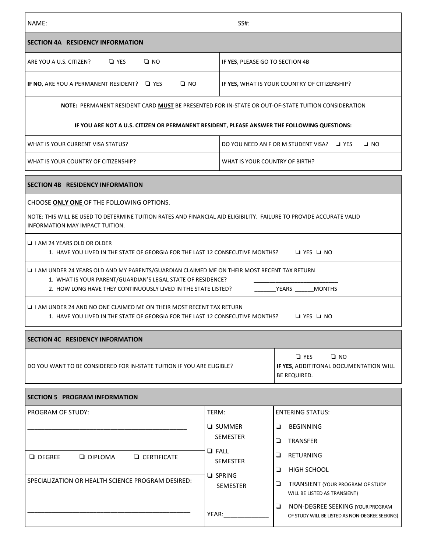| NAME:                                                                                                                                                                                                                                                                                                                                                                                                                                                                                                                                                                                                                                                                                                                                                                                                                | SS#:                                                                                                                                                                                                                                                                                                                                                                                                                    |              |
|----------------------------------------------------------------------------------------------------------------------------------------------------------------------------------------------------------------------------------------------------------------------------------------------------------------------------------------------------------------------------------------------------------------------------------------------------------------------------------------------------------------------------------------------------------------------------------------------------------------------------------------------------------------------------------------------------------------------------------------------------------------------------------------------------------------------|-------------------------------------------------------------------------------------------------------------------------------------------------------------------------------------------------------------------------------------------------------------------------------------------------------------------------------------------------------------------------------------------------------------------------|--------------|
| SECTION 4A RESIDENCY INFORMATION                                                                                                                                                                                                                                                                                                                                                                                                                                                                                                                                                                                                                                                                                                                                                                                     |                                                                                                                                                                                                                                                                                                                                                                                                                         |              |
| $\square$ NO<br>ARE YOU A U.S. CITIZEN?<br>$\Box$ YES                                                                                                                                                                                                                                                                                                                                                                                                                                                                                                                                                                                                                                                                                                                                                                | IF YES, PLEASE GO TO SECTION 4B                                                                                                                                                                                                                                                                                                                                                                                         |              |
| IF NO, ARE YOU A PERMANENT RESIDENT? J YES<br>$\square$ NO                                                                                                                                                                                                                                                                                                                                                                                                                                                                                                                                                                                                                                                                                                                                                           | IF YES, WHAT IS YOUR COUNTRY OF CITIZENSHIP?                                                                                                                                                                                                                                                                                                                                                                            |              |
| NOTE: PERMANENT RESIDENT CARD MUST BE PRESENTED FOR IN-STATE OR OUT-OF-STATE TUITION CONSIDERATION                                                                                                                                                                                                                                                                                                                                                                                                                                                                                                                                                                                                                                                                                                                   |                                                                                                                                                                                                                                                                                                                                                                                                                         |              |
|                                                                                                                                                                                                                                                                                                                                                                                                                                                                                                                                                                                                                                                                                                                                                                                                                      | IF YOU ARE NOT A U.S. CITIZEN OR PERMANENT RESIDENT, PLEASE ANSWER THE FOLLOWING QUESTIONS:                                                                                                                                                                                                                                                                                                                             |              |
| WHAT IS YOUR CURRENT VISA STATUS?                                                                                                                                                                                                                                                                                                                                                                                                                                                                                                                                                                                                                                                                                                                                                                                    | DO YOU NEED AN F OR M STUDENT VISA? LI YES                                                                                                                                                                                                                                                                                                                                                                              | $\square$ NO |
| WHAT IS YOUR COUNTRY OF CITIZENSHIP?                                                                                                                                                                                                                                                                                                                                                                                                                                                                                                                                                                                                                                                                                                                                                                                 | WHAT IS YOUR COUNTRY OF BIRTH?                                                                                                                                                                                                                                                                                                                                                                                          |              |
| SECTION 4B RESIDENCY INFORMATION                                                                                                                                                                                                                                                                                                                                                                                                                                                                                                                                                                                                                                                                                                                                                                                     |                                                                                                                                                                                                                                                                                                                                                                                                                         |              |
| NOTE: THIS WILL BE USED TO DETERMINE TUITION RATES AND FINANCIAL AID ELIGIBILITY. FAILURE TO PROVIDE ACCURATE VALID<br>INFORMATION MAY IMPACT TUITION.<br>$\Box$ I AM 24 YEARS OLD OR OLDER<br>1. HAVE YOU LIVED IN THE STATE OF GEORGIA FOR THE LAST 12 CONSECUTIVE MONTHS? □ YES □ NO<br>$\Box$ I AM UNDER 24 YEARS OLD AND MY PARENTS/GUARDIAN CLAIMED ME ON THEIR MOST RECENT TAX RETURN<br>1. WHAT IS YOUR PARENT/GUARDIAN'S LEGAL STATE OF RESIDENCE?<br>2. HOW LONG HAVE THEY CONTINUOUSLY LIVED IN THE STATE LISTED?<br>$\Box$ I AM UNDER 24 AND NO ONE CLAIMED ME ON THEIR MOST RECENT TAX RETURN<br>1. HAVE YOU LIVED IN THE STATE OF GEORGIA FOR THE LAST 12 CONSECUTIVE MONTHS? □ YES □ NO<br>SECTION 4C RESIDENCY INFORMATION<br>DO YOU WANT TO BE CONSIDERED FOR IN-STATE TUITION IF YOU ARE ELIGIBLE? | YEARS MONTHS<br>$\square$ NO<br>$\Box$ YES<br>IF YES, ADDITITONAL DOCUMENTATION WILL<br>BE REQUIRED.                                                                                                                                                                                                                                                                                                                    |              |
| <b>SECTION 5 PROGRAM INFORMATION</b>                                                                                                                                                                                                                                                                                                                                                                                                                                                                                                                                                                                                                                                                                                                                                                                 |                                                                                                                                                                                                                                                                                                                                                                                                                         |              |
| PROGRAM OF STUDY:<br>$\Box$ DEGREE<br>$\Box$ DIPLOMA<br><b>Q</b> CERTIFICATE<br>SPECIALIZATION OR HEALTH SCIENCE PROGRAM DESIRED:                                                                                                                                                                                                                                                                                                                                                                                                                                                                                                                                                                                                                                                                                    | TERM:<br><b>ENTERING STATUS:</b><br><b>Q</b> SUMMER<br><b>BEGINNING</b><br>❏<br><b>SEMESTER</b><br>❏<br><b>TRANSFER</b><br>$\Box$ FALL<br>❏<br><b>RETURNING</b><br><b>SEMESTER</b><br>❏<br>HIGH SCHOOL<br>$\Box$ SPRING<br>⊔<br>TRANSIENT (YOUR PROGRAM OF STUDY<br><b>SEMESTER</b><br>WILL BE LISTED AS TRANSIENT)<br>❏<br>NON-DEGREE SEEKING (YOUR PROGRAM<br>YEAR:<br>OF STUDY WILL BE LISTED AS NON-DEGREE SEEKING) |              |